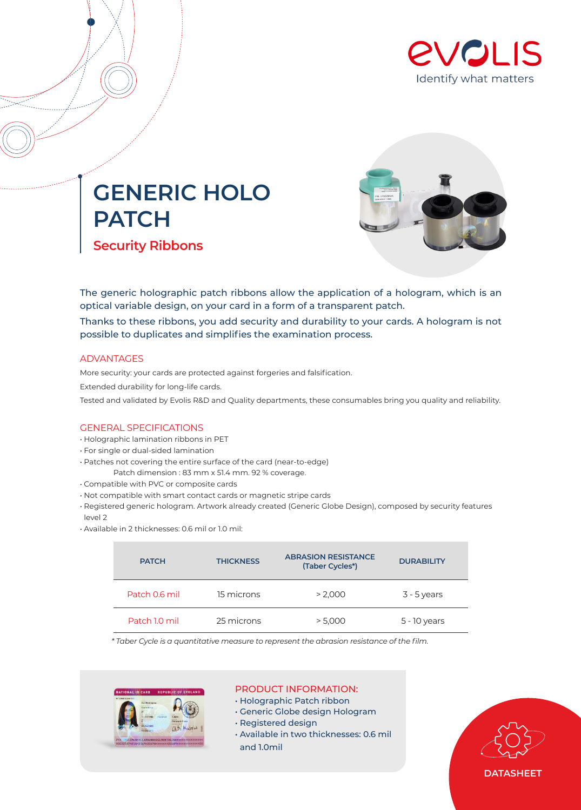

## **GENERIC HOLO PATCH Security Ribbons**



The generic holographic patch ribbons allow the application of a hologram, which is an optical variable design, on your card in a form of a transparent patch.

Thanks to these ribbons, you add security and durability to your cards. A hologram is not possible to duplicates and simplifies the examination process.

#### ADVANTAGES

More security: your cards are protected against forgeries and falsification. Extended durability for long-life cards. Tested and validated by Evolis R&D and Quality departments, these consumables bring you quality and reliability.

#### GENERAL SPECIFICATIONS

- Holographic lamination ribbons in PET
- For single or dual-sided lamination
- Patches not covering the entire surface of the card (near-to-edge)
- Patch dimension : 83 mm x 51.4 mm. 92 % coverage.
- Compatible with PVC or composite cards
- Not compatible with smart contact cards or magnetic stripe cards
- Registered generic hologram. Artwork already created (Generic Globe Design), composed by security features level 2
- Available in 2 thicknesses: 0.6 mil or 1.0 mil:

| <b>PATCH</b>  | <b>THICKNESS</b> | <b>ABRASION RESISTANCE</b><br>(Taber Cycles*) | <b>DURABILITY</b> |  |
|---------------|------------------|-----------------------------------------------|-------------------|--|
| Patch 0.6 mil | 15 microns       | > 2.000                                       | $3 - 5$ years     |  |
| Patch 1.0 mil | 25 microns       | > 5.000                                       | 5 - 10 years      |  |

*\* Taber Cycle is a quantitative measure to represent the abrasion resistance of the film.*



### PRODUCT INFORMATION:

- Holographic Patch ribbon
- Generic Globe design Hologram
- Registered design
- Available in two thicknesses: 0.6 mil and 1.0mil